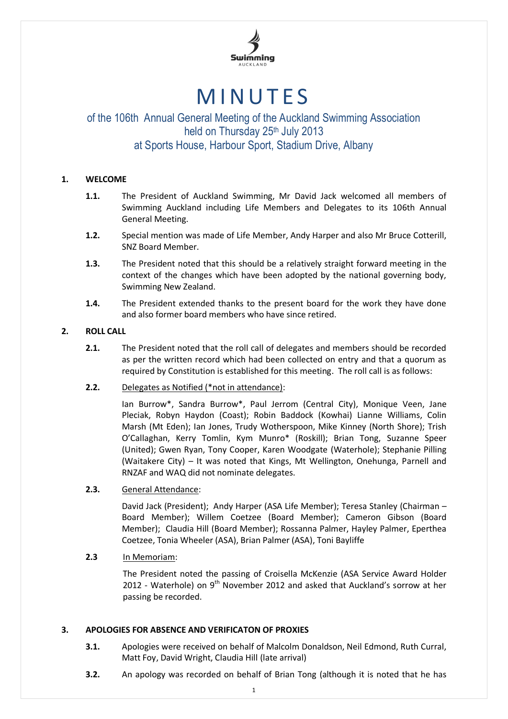

# **MINUTES**

## of the 106th Annual General Meeting of the Auckland Swimming Association held on Thursday 25<sup>th</sup> July 2013 at Sports House, Harbour Sport, Stadium Drive, Albany

## **1. WELCOME**

- **1.1.** The President of Auckland Swimming, Mr David Jack welcomed all members of Swimming Auckland including Life Members and Delegates to its 106th Annual General Meeting.
- **1.2.** Special mention was made of Life Member, Andy Harper and also Mr Bruce Cotterill, SNZ Board Member.
- **1.3.** The President noted that this should be a relatively straight forward meeting in the context of the changes which have been adopted by the national governing body, Swimming New Zealand.
- **1.4.** The President extended thanks to the present board for the work they have done and also former board members who have since retired.

## **2. ROLL CALL**

- **2.1.** The President noted that the roll call of delegates and members should be recorded as per the written record which had been collected on entry and that a quorum as required by Constitution is established for this meeting. The roll call is as follows:
- **2.2.** Delegates as Notified (\*not in attendance):

Ian Burrow\*, Sandra Burrow\*, Paul Jerrom (Central City), Monique Veen, Jane Pleciak, Robyn Haydon (Coast); Robin Baddock (Kowhai) Lianne Williams, Colin Marsh (Mt Eden); Ian Jones, Trudy Wotherspoon, Mike Kinney (North Shore); Trish O'Callaghan, Kerry Tomlin, Kym Munro\* (Roskill); Brian Tong, Suzanne Speer (United); Gwen Ryan, Tony Cooper, Karen Woodgate (Waterhole); Stephanie Pilling (Waitakere City) – It was noted that Kings, Mt Wellington, Onehunga, Parnell and RNZAF and WAQ did not nominate delegates.

## **2.3.** General Attendance:

David Jack (President); Andy Harper (ASA Life Member); Teresa Stanley (Chairman – Board Member); Willem Coetzee (Board Member); Cameron Gibson (Board Member); Claudia Hill (Board Member); Rossanna Palmer, Hayley Palmer, Eperthea Coetzee, Tonia Wheeler (ASA), Brian Palmer (ASA), Toni Bayliffe

## **2.3** In Memoriam:

The President noted the passing of Croisella McKenzie (ASA Service Award Holder 2012 - Waterhole) on  $9<sup>th</sup>$  November 2012 and asked that Auckland's sorrow at her passing be recorded.

## **3. APOLOGIES FOR ABSENCE AND VERIFICATON OF PROXIES**

- **3.1.** Apologies were received on behalf of Malcolm Donaldson, Neil Edmond, Ruth Curral, Matt Foy, David Wright, Claudia Hill (late arrival)
- **3.2.** An apology was recorded on behalf of Brian Tong (although it is noted that he has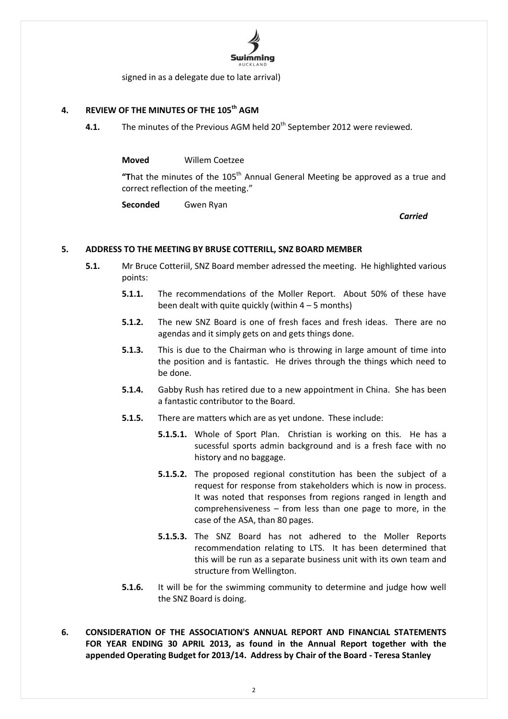

signed in as a delegate due to late arrival)

## **4. REVIEW OF THE MINUTES OF THE 105th AGM**

**4.1.** The minutes of the Previous AGM held 20<sup>th</sup> September 2012 were reviewed.

**Moved** Willem Coetzee

"That the minutes of the 105<sup>th</sup> Annual General Meeting be approved as a true and correct reflection of the meeting."

**Seconded** Gwen Ryan

*Carried*

#### **5. ADDRESS TO THE MEETING BY BRUSE COTTERILL, SNZ BOARD MEMBER**

- **5.1.** Mr Bruce Cotteriil, SNZ Board member adressed the meeting. He highlighted various points:
	- **5.1.1.** The recommendations of the Moller Report. About 50% of these have been dealt with quite quickly (within  $4 - 5$  months)
	- **5.1.2.** The new SNZ Board is one of fresh faces and fresh ideas. There are no agendas and it simply gets on and gets things done.
	- **5.1.3.** This is due to the Chairman who is throwing in large amount of time into the position and is fantastic. He drives through the things which need to be done.
	- **5.1.4.** Gabby Rush has retired due to a new appointment in China. She has been a fantastic contributor to the Board.
	- **5.1.5.** There are matters which are as yet undone. These include:
		- **5.1.5.1.** Whole of Sport Plan. Christian is working on this. He has a sucessful sports admin background and is a fresh face with no history and no baggage.
		- **5.1.5.2.** The proposed regional constitution has been the subject of a request for response from stakeholders which is now in process. It was noted that responses from regions ranged in length and comprehensiveness – from less than one page to more, in the case of the ASA, than 80 pages.
		- **5.1.5.3.** The SNZ Board has not adhered to the Moller Reports recommendation relating to LTS. It has been determined that this will be run as a separate business unit with its own team and structure from Wellington.
	- **5.1.6.** It will be for the swimming community to determine and judge how well the SNZ Board is doing.
- **6. CONSIDERATION OF THE ASSOCIATION'S ANNUAL REPORT AND FINANCIAL STATEMENTS FOR YEAR ENDING 30 APRIL 2013, as found in the Annual Report together with the appended Operating Budget for 2013/14. Address by Chair of the Board - Teresa Stanley**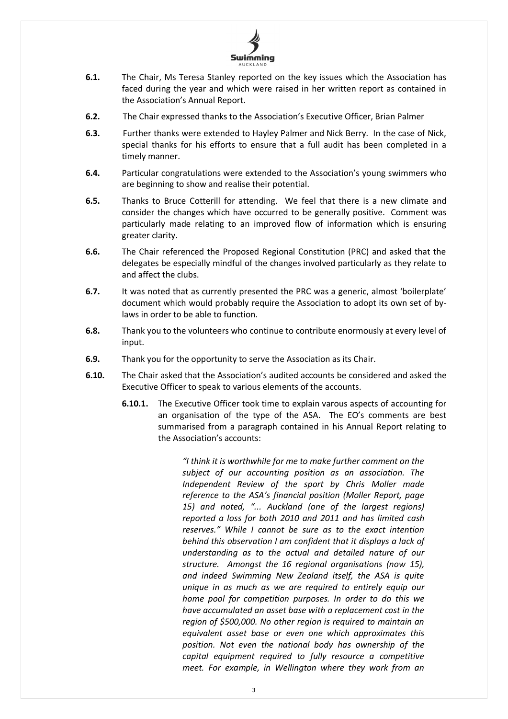

- **6.1.** The Chair, Ms Teresa Stanley reported on the key issues which the Association has faced during the year and which were raised in her written report as contained in the Association's Annual Report.
- **6.2.** The Chair expressed thanks to the Association's Executive Officer, Brian Palmer
- **6.3.** Further thanks were extended to Hayley Palmer and Nick Berry. In the case of Nick, special thanks for his efforts to ensure that a full audit has been completed in a timely manner.
- **6.4.** Particular congratulations were extended to the Association's young swimmers who are beginning to show and realise their potential.
- **6.5.** Thanks to Bruce Cotterill for attending. We feel that there is a new climate and consider the changes which have occurred to be generally positive. Comment was particularly made relating to an improved flow of information which is ensuring greater clarity.
- **6.6.** The Chair referenced the Proposed Regional Constitution (PRC) and asked that the delegates be especially mindful of the changes involved particularly as they relate to and affect the clubs.
- **6.7.** It was noted that as currently presented the PRC was a generic, almost 'boilerplate' document which would probably require the Association to adopt its own set of bylaws in order to be able to function.
- **6.8.** Thank you to the volunteers who continue to contribute enormously at every level of input.
- **6.9.** Thank you for the opportunity to serve the Association as its Chair.
- **6.10.** The Chair asked that the Association's audited accounts be considered and asked the Executive Officer to speak to various elements of the accounts.
	- **6.10.1.** The Executive Officer took time to explain varous aspects of accounting for an organisation of the type of the ASA. The EO's comments are best summarised from a paragraph contained in his Annual Report relating to the Association's accounts:

*"I think it is worthwhile for me to make further comment on the subject of our accounting position as an association. The Independent Review of the sport by Chris Moller made reference to the ASA's financial position (Moller Report, page 15) and noted, "... Auckland (one of the largest regions) reported a loss for both 2010 and 2011 and has limited cash reserves." While I cannot be sure as to the exact intention behind this observation I am confident that it displays a lack of understanding as to the actual and detailed nature of our structure. Amongst the 16 regional organisations (now 15), and indeed Swimming New Zealand itself, the ASA is quite unique in as much as we are required to entirely equip our home pool for competition purposes. In order to do this we have accumulated an asset base with a replacement cost in the region of \$500,000. No other region is required to maintain an equivalent asset base or even one which approximates this position. Not even the national body has ownership of the capital equipment required to fully resource a competitive meet. For example, in Wellington where they work from an*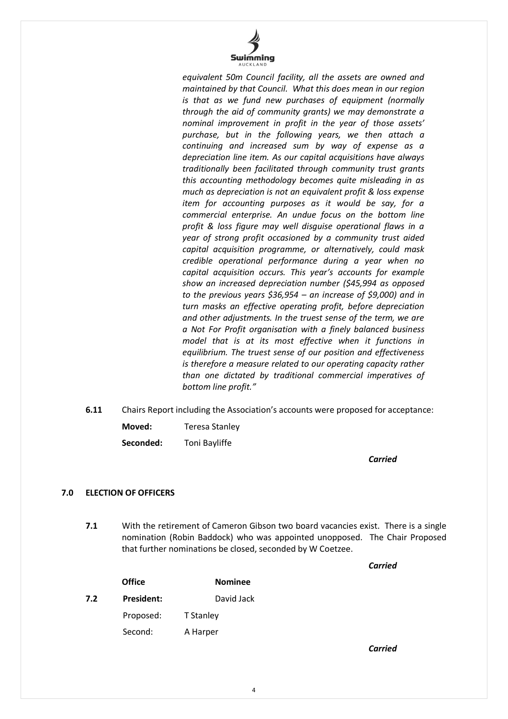

*equivalent 50m Council facility, all the assets are owned and maintained by that Council. What this does mean in our region is that as we fund new purchases of equipment (normally through the aid of community grants) we may demonstrate a nominal improvement in profit in the year of those assets' purchase, but in the following years, we then attach a continuing and increased sum by way of expense as a depreciation line item. As our capital acquisitions have always traditionally been facilitated through community trust grants this accounting methodology becomes quite misleading in as much as depreciation is not an equivalent profit & loss expense item for accounting purposes as it would be say, for a commercial enterprise. An undue focus on the bottom line profit & loss figure may well disguise operational flaws in a year of strong profit occasioned by a community trust aided capital acquisition programme, or alternatively, could mask credible operational performance during a year when no capital acquisition occurs. This year's accounts for example show an increased depreciation number (\$45,994 as opposed to the previous years \$36,954 – an increase of \$9,000) and in turn masks an effective operating profit, before depreciation and other adjustments. In the truest sense of the term, we are a Not For Profit organisation with a finely balanced business model that is at its most effective when it functions in equilibrium. The truest sense of our position and effectiveness is therefore a measure related to our operating capacity rather than one dictated by traditional commercial imperatives of bottom line profit."*

- **6.11** Chairs Report including the Association's accounts were proposed for acceptance:
	- **Moved:** Teresa Stanley

**Seconded:** Toni Bayliffe

*Carried*

*Carried* 

## **7.0 ELECTION OF OFFICERS**

**7.1** With the retirement of Cameron Gibson two board vacancies exist. There is a single nomination (Robin Baddock) who was appointed unopposed. The Chair Proposed that further nominations be closed, seconded by W Coetzee.

|     | <b>Office</b>     | <b>Nominee</b>   |
|-----|-------------------|------------------|
| 7.2 | <b>President:</b> | David Jack       |
|     | Proposed:         | <b>T</b> Stanley |
|     | Second:           | A Harper         |
|     |                   |                  |

4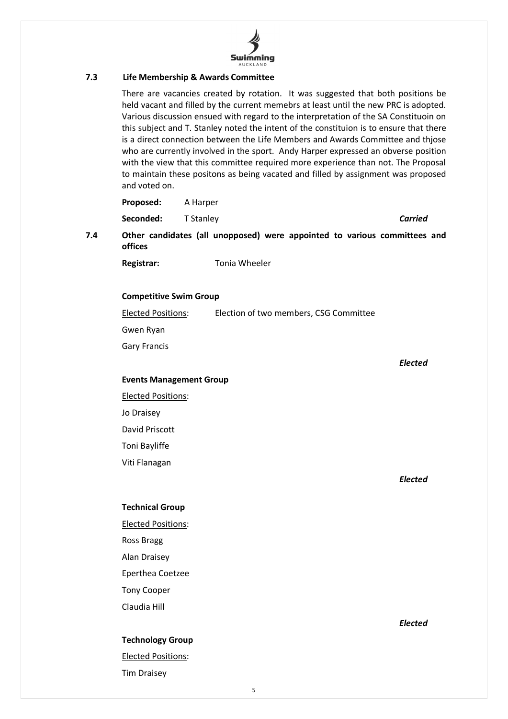

#### **7.3 Life Membership & Awards Committee**

There are vacancies created by rotation. It was suggested that both positions be held vacant and filled by the current memebrs at least until the new PRC is adopted. Various discussion ensued with regard to the interpretation of the SA Constituoin on this subject and T. Stanley noted the intent of the constituion is to ensure that there is a direct connection between the Life Members and Awards Committee and thjose who are currently involved in the sport. Andy Harper expressed an obverse position with the view that this committee required more experience than not. The Proposal to maintain these positons as being vacated and filled by assignment was proposed and voted on.

|     | Proposed:                      | A Harper                                                                  |                |  |  |
|-----|--------------------------------|---------------------------------------------------------------------------|----------------|--|--|
|     | Seconded:                      | T Stanley                                                                 | <b>Carried</b> |  |  |
| 7.4 | offices                        | Other candidates (all unopposed) were appointed to various committees and |                |  |  |
|     | Registrar:                     | Tonia Wheeler                                                             |                |  |  |
|     |                                |                                                                           |                |  |  |
|     | <b>Competitive Swim Group</b>  |                                                                           |                |  |  |
|     | <b>Elected Positions:</b>      | Election of two members, CSG Committee                                    |                |  |  |
|     | Gwen Ryan                      |                                                                           |                |  |  |
|     | <b>Gary Francis</b>            |                                                                           |                |  |  |
|     |                                |                                                                           | Elected        |  |  |
|     | <b>Events Management Group</b> |                                                                           |                |  |  |

Elected Positions:

Jo Draisey

David Priscott

Toni Bayliffe

Viti Flanagan

*Elected*

#### **Technical Group**

Elected Positions: Ross Bragg Alan Draisey Eperthea Coetzee Tony Cooper Claudia Hill

## **Technology Group**

Elected Positions: Tim Draisey

*Elected*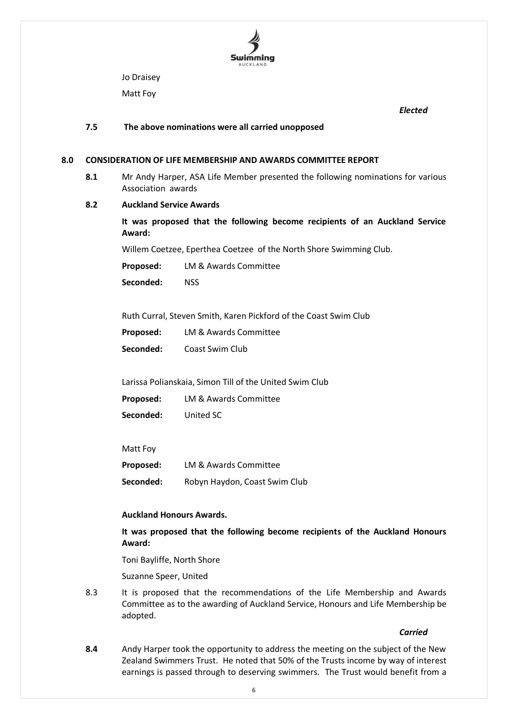

Jo Draisey

Matt Foy

*Elected*

#### **7.5 The above nominations were all carried unopposed**

#### **8.0 CONSIDERATION OF LIFE MEMBERSHIP AND AWARDS COMMITTEE REPORT**

**8.1** Mr Andy Harper, ASA Life Member presented the following nominations for various Association awards

#### **8.2 Auckland Service Awards**

**It was proposed that the following become recipients of an Auckland Service Award:**

Willem Coetzee, Eperthea Coetzee of the North Shore Swimming Club.

**Proposed:** LM & Awards Committee

**Seconded:** NSS

Ruth Curral, Steven Smith, Karen Pickford of the Coast Swim Club

**Proposed:** LM & Awards Committee

**Seconded:** Coast Swim Club

Larissa Polianskaia, Simon Till of the United Swim Club

**Proposed:** LM & Awards Committee **Seconded:** United SC

#### Matt Foy

**Proposed:** LM & Awards Committee **Seconded:** Robyn Haydon, Coast Swim Club

#### **Auckland Honours Awards.**

**It was proposed that the following become recipients of the Auckland Honours Award:**

Toni Bayliffe, North Shore

Suzanne Speer, United

8.3 It is proposed that the recommendations of the Life Membership and Awards Committee as to the awarding of Auckland Service, Honours and Life Membership be adopted.

*Carried*

**8.4** Andy Harper took the opportunity to address the meeting on the subject of the New Zealand Swimmers Trust. He noted that 50% of the Trusts income by way of interest earnings is passed through to deserving swimmers. The Trust would benefit from a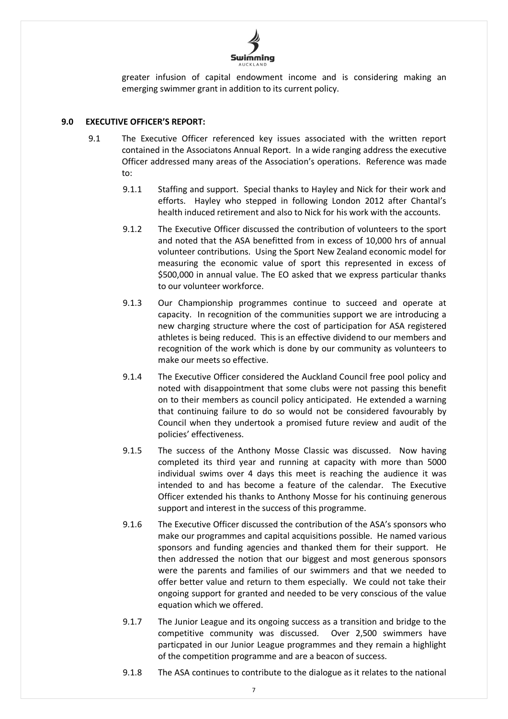

greater infusion of capital endowment income and is considering making an emerging swimmer grant in addition to its current policy.

### **9.0 EXECUTIVE OFFICER'S REPORT:**

- 9.1 The Executive Officer referenced key issues associated with the written report contained in the Associatons Annual Report. In a wide ranging address the executive Officer addressed many areas of the Association's operations. Reference was made to:
	- 9.1.1 Staffing and support. Special thanks to Hayley and Nick for their work and efforts. Hayley who stepped in following London 2012 after Chantal's health induced retirement and also to Nick for his work with the accounts.
	- 9.1.2 The Executive Officer discussed the contribution of volunteers to the sport and noted that the ASA benefitted from in excess of 10,000 hrs of annual volunteer contributions. Using the Sport New Zealand economic model for measuring the economic value of sport this represented in excess of \$500,000 in annual value. The EO asked that we express particular thanks to our volunteer workforce.
	- 9.1.3 Our Championship programmes continue to succeed and operate at capacity. In recognition of the communities support we are introducing a new charging structure where the cost of participation for ASA registered athletes is being reduced. This is an effective dividend to our members and recognition of the work which is done by our community as volunteers to make our meets so effective.
	- 9.1.4 The Executive Officer considered the Auckland Council free pool policy and noted with disappointment that some clubs were not passing this benefit on to their members as council policy anticipated. He extended a warning that continuing failure to do so would not be considered favourably by Council when they undertook a promised future review and audit of the policies' effectiveness.
	- 9.1.5 The success of the Anthony Mosse Classic was discussed. Now having completed its third year and running at capacity with more than 5000 individual swims over 4 days this meet is reaching the audience it was intended to and has become a feature of the calendar. The Executive Officer extended his thanks to Anthony Mosse for his continuing generous support and interest in the success of this programme.
	- 9.1.6 The Executive Officer discussed the contribution of the ASA's sponsors who make our programmes and capital acquisitions possible. He named various sponsors and funding agencies and thanked them for their support. He then addressed the notion that our biggest and most generous sponsors were the parents and families of our swimmers and that we needed to offer better value and return to them especially. We could not take their ongoing support for granted and needed to be very conscious of the value equation which we offered.
	- 9.1.7 The Junior League and its ongoing success as a transition and bridge to the competitive community was discussed. Over 2,500 swimmers have particpated in our Junior League programmes and they remain a highlight of the competition programme and are a beacon of success.
	- 9.1.8 The ASA continues to contribute to the dialogue as it relates to the national